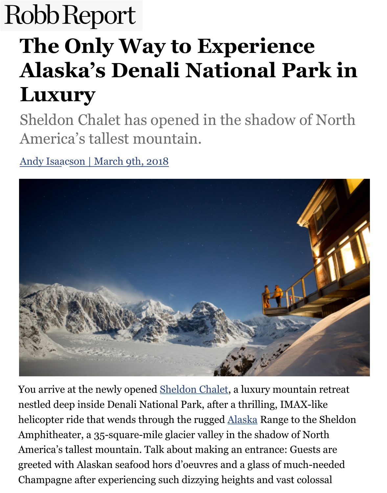## **Alaska's Denali National Park in Luxury**

Sheldon Chalet has opened in the shadow of  $N_0$ America's tallest mountain.

Andy Isaacson | March 9th, 2018



You arrive at the newly opened Sheldon Chalet, a luxury mountain re nestled deep inside Denali National Park, after a thrilling, IMAX-like helicopter ride that wends through the rugged Alaska Range to the Sh Amphitheater, a 35-square-mile glacier valley in the shadow of North America's tallest mountain. Tal[k about making](https://sheldonchalet.com/) an entrance: Guests a greeted with Alaskan seafood hors d'oeuvres and a glass of much-nee Champagne after experiencing such dizzying h[eights a](http://robbreport.com/tag/alaska/)nd vast colossal